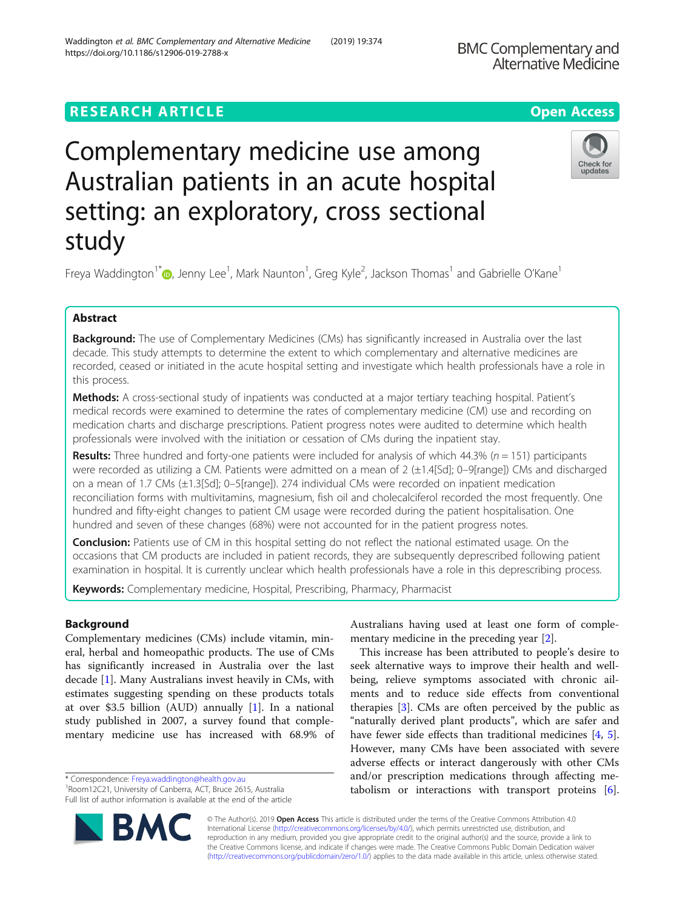## **RESEARCH ARTICLE Example 2014 12:30 The Contract of Contract ACCESS**

# Complementary medicine use among Australian patients in an acute hospital setting: an exploratory, cross sectional study

Freya Waddington<sup>1\*</sup>�[,](http://orcid.org/0000-0002-4280-2402) Jenny Lee<sup>1</sup>, Mark Naunton<sup>1</sup>, Greg Kyle<sup>2</sup>, Jackson Thomas<sup>1</sup> and Gabrielle O'Kane<sup>1</sup>

## Abstract

Background: The use of Complementary Medicines (CMs) has significantly increased in Australia over the last decade. This study attempts to determine the extent to which complementary and alternative medicines are recorded, ceased or initiated in the acute hospital setting and investigate which health professionals have a role in this process.

Methods: A cross-sectional study of inpatients was conducted at a major tertiary teaching hospital. Patient's medical records were examined to determine the rates of complementary medicine (CM) use and recording on medication charts and discharge prescriptions. Patient progress notes were audited to determine which health professionals were involved with the initiation or cessation of CMs during the inpatient stay.

**Results:** Three hundred and forty-one patients were included for analysis of which  $44.3\%$  ( $n = 151$ ) participants were recorded as utilizing a CM. Patients were admitted on a mean of 2 (±1.4[Sd]; 0–9[range]) CMs and discharged on a mean of 1.7 CMs (±1.3[Sd]; 0–5[range]). 274 individual CMs were recorded on inpatient medication reconciliation forms with multivitamins, magnesium, fish oil and cholecalciferol recorded the most frequently. One hundred and fifty-eight changes to patient CM usage were recorded during the patient hospitalisation. One hundred and seven of these changes (68%) were not accounted for in the patient progress notes.

**Conclusion:** Patients use of CM in this hospital setting do not reflect the national estimated usage. On the occasions that CM products are included in patient records, they are subsequently deprescribed following patient examination in hospital. It is currently unclear which health professionals have a role in this deprescribing process.

Keywords: Complementary medicine, Hospital, Prescribing, Pharmacy, Pharmacist

## Background

Complementary medicines (CMs) include vitamin, mineral, herbal and homeopathic products. The use of CMs has significantly increased in Australia over the last decade [[1\]](#page-5-0). Many Australians invest heavily in CMs, with estimates suggesting spending on these products totals at over \$3.5 billion (AUD) annually [\[1](#page-5-0)]. In a national study published in 2007, a survey found that complementary medicine use has increased with 68.9% of

\* Correspondence: [Freya.waddington@health.gov.au](mailto:Freya.waddington@health.gov.au) <sup>1</sup>

<sup>1</sup> Room12C21, University of Canberra, ACT, Bruce 2615, Australia Full list of author information is available at the end of the article Australians having used at least one form of complementary medicine in the preceding year [[2\]](#page-5-0). This increase has been attributed to people's desire to

seek alternative ways to improve their health and wellbeing, relieve symptoms associated with chronic ailments and to reduce side effects from conventional therapies [[3\]](#page-5-0). CMs are often perceived by the public as "naturally derived plant products", which are safer and have fewer side effects than traditional medicines [[4,](#page-5-0) [5](#page-5-0)]. However, many CMs have been associated with severe adverse effects or interact dangerously with other CMs and/or prescription medications through affecting metabolism or interactions with transport proteins [\[6](#page-5-0)].

© The Author(s). 2019 **Open Access** This article is distributed under the terms of the Creative Commons Attribution 4.0 International License [\(http://creativecommons.org/licenses/by/4.0/](http://creativecommons.org/licenses/by/4.0/)), which permits unrestricted use, distribution, and reproduction in any medium, provided you give appropriate credit to the original author(s) and the source, provide a link to the Creative Commons license, and indicate if changes were made. The Creative Commons Public Domain Dedication waiver [\(http://creativecommons.org/publicdomain/zero/1.0/](http://creativecommons.org/publicdomain/zero/1.0/)) applies to the data made available in this article, unless otherwise stated.



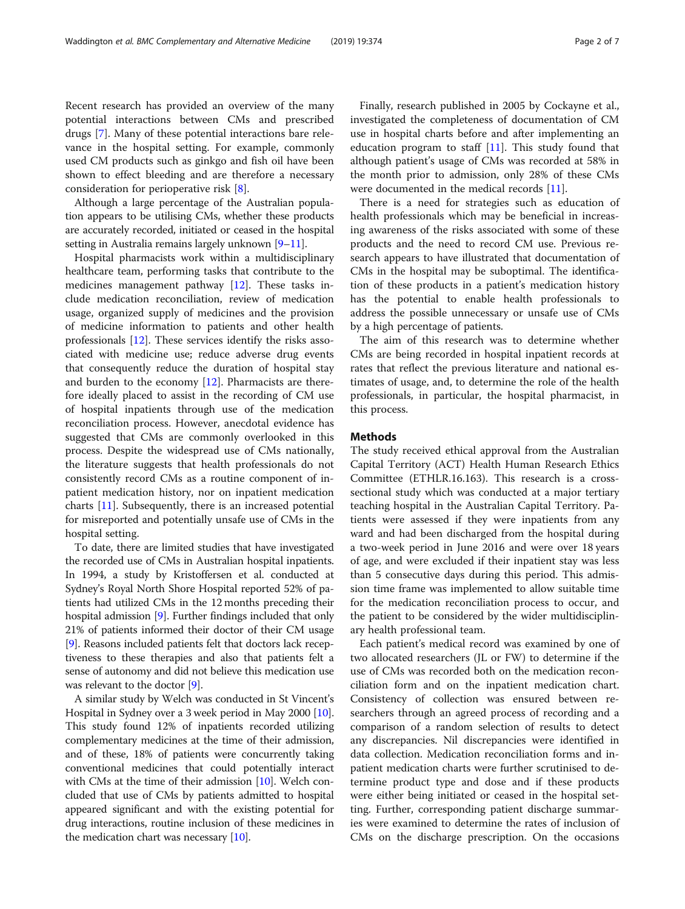Recent research has provided an overview of the many potential interactions between CMs and prescribed drugs [[7\]](#page-5-0). Many of these potential interactions bare relevance in the hospital setting. For example, commonly used CM products such as ginkgo and fish oil have been shown to effect bleeding and are therefore a necessary consideration for perioperative risk [[8\]](#page-5-0).

Although a large percentage of the Australian population appears to be utilising CMs, whether these products are accurately recorded, initiated or ceased in the hospital setting in Australia remains largely unknown [[9](#page-5-0)–[11\]](#page-5-0).

Hospital pharmacists work within a multidisciplinary healthcare team, performing tasks that contribute to the medicines management pathway [\[12](#page-5-0)]. These tasks include medication reconciliation, review of medication usage, organized supply of medicines and the provision of medicine information to patients and other health professionals [[12\]](#page-5-0). These services identify the risks associated with medicine use; reduce adverse drug events that consequently reduce the duration of hospital stay and burden to the economy  $[12]$ . Pharmacists are therefore ideally placed to assist in the recording of CM use of hospital inpatients through use of the medication reconciliation process. However, anecdotal evidence has suggested that CMs are commonly overlooked in this process. Despite the widespread use of CMs nationally, the literature suggests that health professionals do not consistently record CMs as a routine component of inpatient medication history, nor on inpatient medication charts [[11\]](#page-5-0). Subsequently, there is an increased potential for misreported and potentially unsafe use of CMs in the hospital setting.

To date, there are limited studies that have investigated the recorded use of CMs in Australian hospital inpatients. In 1994, a study by Kristoffersen et al. conducted at Sydney's Royal North Shore Hospital reported 52% of patients had utilized CMs in the 12 months preceding their hospital admission [\[9\]](#page-5-0). Further findings included that only 21% of patients informed their doctor of their CM usage [[9\]](#page-5-0). Reasons included patients felt that doctors lack receptiveness to these therapies and also that patients felt a sense of autonomy and did not believe this medication use was relevant to the doctor [\[9](#page-5-0)].

A similar study by Welch was conducted in St Vincent's Hospital in Sydney over a 3 week period in May 2000 [[10](#page-5-0)]. This study found 12% of inpatients recorded utilizing complementary medicines at the time of their admission, and of these, 18% of patients were concurrently taking conventional medicines that could potentially interact with CMs at the time of their admission [\[10\]](#page-5-0). Welch concluded that use of CMs by patients admitted to hospital appeared significant and with the existing potential for drug interactions, routine inclusion of these medicines in the medication chart was necessary [\[10\]](#page-5-0).

Finally, research published in 2005 by Cockayne et al., investigated the completeness of documentation of CM use in hospital charts before and after implementing an education program to staff  $[11]$  $[11]$ . This study found that although patient's usage of CMs was recorded at 58% in the month prior to admission, only 28% of these CMs were documented in the medical records [\[11](#page-5-0)].

There is a need for strategies such as education of health professionals which may be beneficial in increasing awareness of the risks associated with some of these products and the need to record CM use. Previous research appears to have illustrated that documentation of CMs in the hospital may be suboptimal. The identification of these products in a patient's medication history has the potential to enable health professionals to address the possible unnecessary or unsafe use of CMs by a high percentage of patients.

The aim of this research was to determine whether CMs are being recorded in hospital inpatient records at rates that reflect the previous literature and national estimates of usage, and, to determine the role of the health professionals, in particular, the hospital pharmacist, in this process.

#### Methods

The study received ethical approval from the Australian Capital Territory (ACT) Health Human Research Ethics Committee (ETHLR.16.163). This research is a crosssectional study which was conducted at a major tertiary teaching hospital in the Australian Capital Territory. Patients were assessed if they were inpatients from any ward and had been discharged from the hospital during a two-week period in June 2016 and were over 18 years of age, and were excluded if their inpatient stay was less than 5 consecutive days during this period. This admission time frame was implemented to allow suitable time for the medication reconciliation process to occur, and the patient to be considered by the wider multidisciplinary health professional team.

Each patient's medical record was examined by one of two allocated researchers (JL or FW) to determine if the use of CMs was recorded both on the medication reconciliation form and on the inpatient medication chart. Consistency of collection was ensured between researchers through an agreed process of recording and a comparison of a random selection of results to detect any discrepancies. Nil discrepancies were identified in data collection. Medication reconciliation forms and inpatient medication charts were further scrutinised to determine product type and dose and if these products were either being initiated or ceased in the hospital setting. Further, corresponding patient discharge summaries were examined to determine the rates of inclusion of CMs on the discharge prescription. On the occasions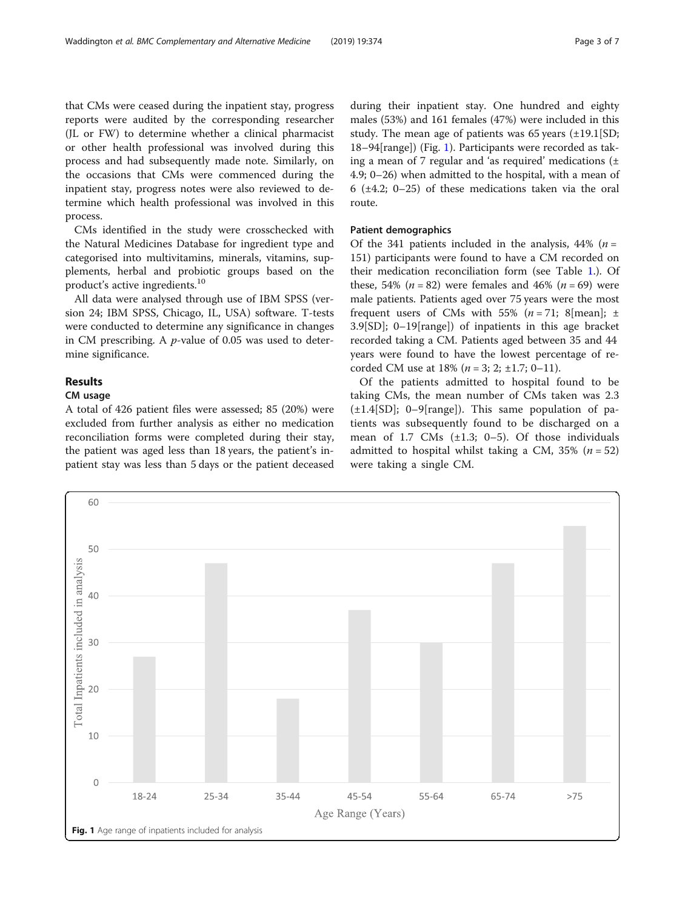that CMs were ceased during the inpatient stay, progress reports were audited by the corresponding researcher (JL or FW) to determine whether a clinical pharmacist or other health professional was involved during this process and had subsequently made note. Similarly, on the occasions that CMs were commenced during the inpatient stay, progress notes were also reviewed to determine which health professional was involved in this process.

CMs identified in the study were crosschecked with the Natural Medicines Database for ingredient type and categorised into multivitamins, minerals, vitamins, supplements, herbal and probiotic groups based on the product's active ingredients.<sup>10</sup>

All data were analysed through use of IBM SPSS (version 24; IBM SPSS, Chicago, IL, USA) software. T-tests were conducted to determine any significance in changes in CM prescribing. A p-value of 0.05 was used to determine significance.

## Results

### CM usage

A total of 426 patient files were assessed; 85 (20%) were excluded from further analysis as either no medication reconciliation forms were completed during their stay, the patient was aged less than 18 years, the patient's inpatient stay was less than 5 days or the patient deceased during their inpatient stay. One hundred and eighty males (53%) and 161 females (47%) were included in this study. The mean age of patients was  $65$  years  $(\pm 19.1$  [SD; 18–94[range]) (Fig. 1). Participants were recorded as taking a mean of 7 regular and 'as required' medications  $(\pm$ 4.9; 0–26) when admitted to the hospital, with a mean of 6 (±4.2; 0–25) of these medications taken via the oral route.

#### Patient demographics

Of the 341 patients included in the analysis, 44% ( $n =$ 151) participants were found to have a CM recorded on their medication reconciliation form (see Table [1](#page-3-0).). Of these, 54% ( $n = 82$ ) were females and 46% ( $n = 69$ ) were male patients. Patients aged over 75 years were the most frequent users of CMs with 55% ( $n = 71$ ; 8[mean]; ± 3.9[SD]; 0–19[range]) of inpatients in this age bracket recorded taking a CM. Patients aged between 35 and 44 years were found to have the lowest percentage of recorded CM use at  $18\%$  ( $n = 3$ ; 2; ±1.7; 0–11).

Of the patients admitted to hospital found to be taking CMs, the mean number of CMs taken was 2.3  $(\pm 1.4|\text{SD}|; 0-9|\text{range}|)$ . This same population of patients was subsequently found to be discharged on a mean of 1.7 CMs  $(\pm 1.3; 0-5)$ . Of those individuals admitted to hospital whilst taking a CM,  $35\%$  ( $n = 52$ ) were taking a single CM.

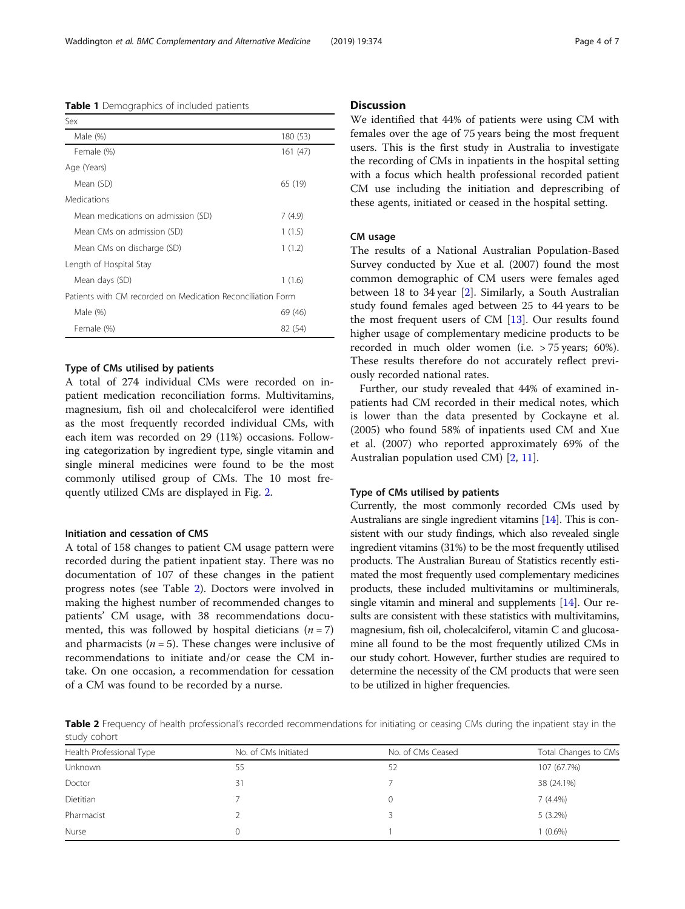Type of CMs utilised by patients A total of 274 individual CMs were recorded on inpatient medication reconciliation forms. Multivitamins, magnesium, fish oil and cholecalciferol were identified as the most frequently recorded individual CMs, with each item was recorded on 29 (11%) occasions. Following categorization by ingredient type, single vitamin and single mineral medicines were found to be the most commonly utilised group of CMs. The 10 most frequently utilized CMs are displayed in Fig. [2.](#page-4-0)

#### Initiation and cessation of CMS

A total of 158 changes to patient CM usage pattern were recorded during the patient inpatient stay. There was no documentation of 107 of these changes in the patient progress notes (see Table 2). Doctors were involved in making the highest number of recommended changes to patients' CM usage, with 38 recommendations documented, this was followed by hospital dieticians  $(n = 7)$ and pharmacists ( $n = 5$ ). These changes were inclusive of recommendations to initiate and/or cease the CM intake. On one occasion, a recommendation for cessation of a CM was found to be recorded by a nurse.

#### **Discussion**

We identified that 44% of patients were using CM with females over the age of 75 years being the most frequent users. This is the first study in Australia to investigate the recording of CMs in inpatients in the hospital setting with a focus which health professional recorded patient CM use including the initiation and deprescribing of these agents, initiated or ceased in the hospital setting.

#### CM usage

The results of a National Australian Population-Based Survey conducted by Xue et al. (2007) found the most common demographic of CM users were females aged between 18 to 34 year [\[2\]](#page-5-0). Similarly, a South Australian study found females aged between 25 to 44 years to be the most frequent users of CM [\[13\]](#page-5-0). Our results found higher usage of complementary medicine products to be recorded in much older women (i.e. > 75 years; 60%). These results therefore do not accurately reflect previously recorded national rates.

Further, our study revealed that 44% of examined inpatients had CM recorded in their medical notes, which is lower than the data presented by Cockayne et al. (2005) who found 58% of inpatients used CM and Xue et al. (2007) who reported approximately 69% of the Australian population used CM) [[2](#page-5-0), [11](#page-5-0)].

#### Type of CMs utilised by patients

Currently, the most commonly recorded CMs used by Australians are single ingredient vitamins [\[14](#page-5-0)]. This is consistent with our study findings, which also revealed single ingredient vitamins (31%) to be the most frequently utilised products. The Australian Bureau of Statistics recently estimated the most frequently used complementary medicines products, these included multivitamins or multiminerals, single vitamin and mineral and supplements [[14](#page-5-0)]. Our results are consistent with these statistics with multivitamins, magnesium, fish oil, cholecalciferol, vitamin C and glucosamine all found to be the most frequently utilized CMs in our study cohort. However, further studies are required to determine the necessity of the CM products that were seen to be utilized in higher frequencies.

Table 2 Frequency of health professional's recorded recommendations for initiating or ceasing CMs during the inpatient stay in the study cohort

| Health Professional Type | No. of CMs Initiated | No. of CMs Ceased | Total Changes to CMs |
|--------------------------|----------------------|-------------------|----------------------|
| Unknown                  | 55                   | 52                | 107 (67.7%)          |
| Doctor                   | 31                   |                   | 38 (24.1%)           |
| Dietitian                |                      | $\left( \right)$  | $7(4.4\%)$           |
| Pharmacist               |                      |                   | $5(3.2\%)$           |
| Nurse                    |                      |                   | $(0.6\%)$            |

<span id="page-3-0"></span>Table 1 Demographics of included patients

| Sex                                                         |          |  |
|-------------------------------------------------------------|----------|--|
| Male (%)                                                    | 180 (53) |  |
| Female (%)                                                  | 161 (47) |  |
| Age (Years)                                                 |          |  |
| Mean (SD)                                                   | 65 (19)  |  |
| <b>Medications</b>                                          |          |  |
| Mean medications on admission (SD)                          | 7 (4.9)  |  |
| Mean CMs on admission (SD)                                  | 1(1.5)   |  |
| Mean CMs on discharge (SD)                                  | 1(1.2)   |  |
| Length of Hospital Stay                                     |          |  |
| Mean days (SD)                                              | 1(1.6)   |  |
| Patients with CM recorded on Medication Reconciliation Form |          |  |
| Male (%)                                                    | 69 (46)  |  |
| Female (%)                                                  | 82 (54)  |  |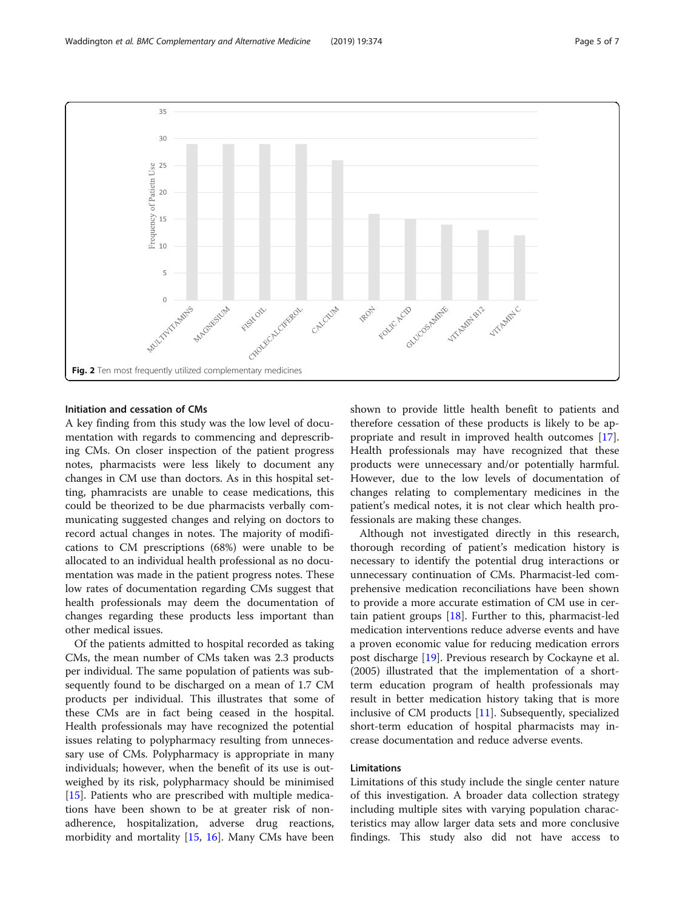<span id="page-4-0"></span>

#### Initiation and cessation of CMs

A key finding from this study was the low level of documentation with regards to commencing and deprescribing CMs. On closer inspection of the patient progress notes, pharmacists were less likely to document any changes in CM use than doctors. As in this hospital setting, phamracists are unable to cease medications, this could be theorized to be due pharmacists verbally communicating suggested changes and relying on doctors to record actual changes in notes. The majority of modifications to CM prescriptions (68%) were unable to be allocated to an individual health professional as no documentation was made in the patient progress notes. These low rates of documentation regarding CMs suggest that health professionals may deem the documentation of changes regarding these products less important than other medical issues.

Of the patients admitted to hospital recorded as taking CMs, the mean number of CMs taken was 2.3 products per individual. The same population of patients was subsequently found to be discharged on a mean of 1.7 CM products per individual. This illustrates that some of these CMs are in fact being ceased in the hospital. Health professionals may have recognized the potential issues relating to polypharmacy resulting from unnecessary use of CMs. Polypharmacy is appropriate in many individuals; however, when the benefit of its use is outweighed by its risk, polypharmacy should be minimised [[15\]](#page-5-0). Patients who are prescribed with multiple medications have been shown to be at greater risk of nonadherence, hospitalization, adverse drug reactions, morbidity and mortality [[15](#page-5-0), [16](#page-5-0)]. Many CMs have been shown to provide little health benefit to patients and therefore cessation of these products is likely to be appropriate and result in improved health outcomes [\[17](#page-5-0)]. Health professionals may have recognized that these products were unnecessary and/or potentially harmful. However, due to the low levels of documentation of changes relating to complementary medicines in the patient's medical notes, it is not clear which health professionals are making these changes.

Although not investigated directly in this research, thorough recording of patient's medication history is necessary to identify the potential drug interactions or unnecessary continuation of CMs. Pharmacist-led comprehensive medication reconciliations have been shown to provide a more accurate estimation of CM use in certain patient groups  $[18]$ . Further to this, pharmacist-led medication interventions reduce adverse events and have a proven economic value for reducing medication errors post discharge [[19\]](#page-5-0). Previous research by Cockayne et al. (2005) illustrated that the implementation of a shortterm education program of health professionals may result in better medication history taking that is more inclusive of CM products [[11](#page-5-0)]. Subsequently, specialized short-term education of hospital pharmacists may increase documentation and reduce adverse events.

#### Limitations

Limitations of this study include the single center nature of this investigation. A broader data collection strategy including multiple sites with varying population characteristics may allow larger data sets and more conclusive findings. This study also did not have access to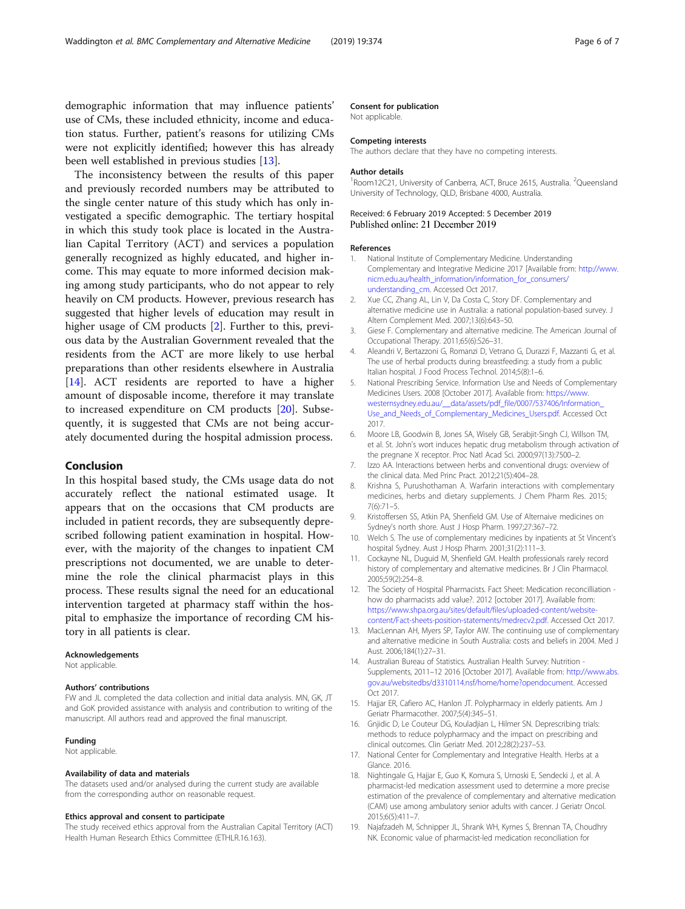<span id="page-5-0"></span>demographic information that may influence patients' use of CMs, these included ethnicity, income and education status. Further, patient's reasons for utilizing CMs were not explicitly identified; however this has already been well established in previous studies [13].

The inconsistency between the results of this paper and previously recorded numbers may be attributed to the single center nature of this study which has only investigated a specific demographic. The tertiary hospital in which this study took place is located in the Australian Capital Territory (ACT) and services a population generally recognized as highly educated, and higher income. This may equate to more informed decision making among study participants, who do not appear to rely heavily on CM products. However, previous research has suggested that higher levels of education may result in higher usage of CM products [2]. Further to this, previous data by the Australian Government revealed that the residents from the ACT are more likely to use herbal preparations than other residents elsewhere in Australia [14]. ACT residents are reported to have a higher amount of disposable income, therefore it may translate to increased expenditure on CM products [[20\]](#page-6-0). Subsequently, it is suggested that CMs are not being accurately documented during the hospital admission process.

#### Conclusion

In this hospital based study, the CMs usage data do not accurately reflect the national estimated usage. It appears that on the occasions that CM products are included in patient records, they are subsequently deprescribed following patient examination in hospital. However, with the majority of the changes to inpatient CM prescriptions not documented, we are unable to determine the role the clinical pharmacist plays in this process. These results signal the need for an educational intervention targeted at pharmacy staff within the hospital to emphasize the importance of recording CM history in all patients is clear.

#### Acknowledgements

Not applicable.

#### Authors' contributions

FW and JL completed the data collection and initial data analysis. MN, GK, JT and GoK provided assistance with analysis and contribution to writing of the manuscript. All authors read and approved the final manuscript.

#### Funding

Not applicable.

#### Availability of data and materials

The datasets used and/or analysed during the current study are available from the corresponding author on reasonable request.

#### Ethics approval and consent to participate

The study received ethics approval from the Australian Capital Territory (ACT) Health Human Research Ethics Committee (ETHLR.16.163).

#### Consent for publication

Not applicable.

#### Competing interests

The authors declare that they have no competing interests.

#### Author details

<sup>1</sup> Room12C21, University of Canberra, ACT, Bruce 2615, Australia. <sup>2</sup>Queensland University of Technology, QLD, Brisbane 4000, Australia.

## Received: 6 February 2019 Accepted: 5 December 2019

#### References

- 1. National Institute of Complementary Medicine. Understanding Complementary and Integrative Medicine 2017 [Available from: [http://www.](http://www.nicm.edu.au/health_information/information_for_consumers/understanding_cm) [nicm.edu.au/health\\_information/information\\_for\\_consumers/](http://www.nicm.edu.au/health_information/information_for_consumers/understanding_cm) [understanding\\_cm.](http://www.nicm.edu.au/health_information/information_for_consumers/understanding_cm) Accessed Oct 2017.
- 2. Xue CC, Zhang AL, Lin V, Da Costa C, Story DF. Complementary and alternative medicine use in Australia: a national population-based survey. J Altern Complement Med. 2007;13(6):643–50.
- 3. Giese F. Complementary and alternative medicine. The American Journal of Occupational Therapy. 2011;65(6):S26–31.
- 4. Aleandri V, Bertazzoni G, Romanzi D, Vetrano G, Durazzi F, Mazzanti G, et al. The use of herbal products during breastfeeding: a study from a public Italian hospital. J Food Process Technol. 2014;5(8):1–6.
- 5. National Prescribing Service. Information Use and Needs of Complementary Medicines Users. 2008 [October 2017]. Available from: [https://www.](https://www.westernsydney.edu.au/__data/assets/pdf_file/0007/537406/Information_Use_and_Needs_of_Complementary_Medicines_Users.pdf) westernsydney.edu.au/ data/assets/pdf\_file/0007/537406/Information [Use\\_and\\_Needs\\_of\\_Complementary\\_Medicines\\_Users.pdf](https://www.westernsydney.edu.au/__data/assets/pdf_file/0007/537406/Information_Use_and_Needs_of_Complementary_Medicines_Users.pdf). Accessed Oct 2017.
- 6. Moore LB, Goodwin B, Jones SA, Wisely GB, Serabjit-Singh CJ, Willson TM, et al. St. John's wort induces hepatic drug metabolism through activation of the pregnane X receptor. Proc Natl Acad Sci. 2000;97(13):7500–2.
- 7. Izzo AA. Interactions between herbs and conventional drugs: overview of the clinical data. Med Princ Pract. 2012;21(5):404–28.
- 8. Krishna S, Purushothaman A. Warfarin interactions with complementary medicines, herbs and dietary supplements. J Chem Pharm Res. 2015; 7(6):71–5.
- 9. Kristoffersen SS, Atkin PA, Shenfield GM. Use of Alternaive medicines on Sydney's north shore. Aust J Hosp Pharm. 1997;27:367–72.
- 10. Welch S. The use of complementary medicines by inpatients at St Vincent's hospital Sydney. Aust J Hosp Pharm. 2001;31(2):111–3.
- 11. Cockayne NL, Duguid M, Shenfield GM. Health professionals rarely record history of complementary and alternative medicines. Br J Clin Pharmacol. 2005;59(2):254–8.
- 12. The Society of Hospital Pharmacists. Fact Sheet: Medication reconcilliation how do pharmacists add value?. 2012 [october 2017]. Available from: [https://www.shpa.org.au/sites/default/files/uploaded-content/website](https://www.shpa.org.au/sites/default/files/uploaded-content/website-content/Fact-sheets-position-statements/medrecv2.pdf)[content/Fact-sheets-position-statements/medrecv2.pdf.](https://www.shpa.org.au/sites/default/files/uploaded-content/website-content/Fact-sheets-position-statements/medrecv2.pdf) Accessed Oct 2017.
- 13. MacLennan AH, Myers SP, Taylor AW. The continuing use of complementary and alternative medicine in South Australia: costs and beliefs in 2004. Med J Aust. 2006;184(1):27–31.
- 14. Australian Bureau of Statistics. Australian Health Survey: Nutrition Supplements, 2011–12 2016 [October 2017]. Available from: [http://www.abs.](http://www.abs.gov.au/websitedbs/d3310114.nsf/home/home?opendocument) [gov.au/websitedbs/d3310114.nsf/home/home?opendocument.](http://www.abs.gov.au/websitedbs/d3310114.nsf/home/home?opendocument) Accessed Oct 2017.
- 15. Hajjar ER, Cafiero AC, Hanlon JT. Polypharmacy in elderly patients. Am J Geriatr Pharmacother. 2007;5(4):345–51.
- 16. Gnjidic D, Le Couteur DG, Kouladjian L, Hilmer SN. Deprescribing trials: methods to reduce polypharmacy and the impact on prescribing and clinical outcomes. Clin Geriatr Med. 2012;28(2):237–53.
- 17. National Center for Complementary and Integrative Health. Herbs at a Glance. 2016.
- 18. Nightingale G, Hajjar E, Guo K, Komura S, Urnoski E, Sendecki J, et al. A pharmacist-led medication assessment used to determine a more precise estimation of the prevalence of complementary and alternative medication (CAM) use among ambulatory senior adults with cancer. J Geriatr Oncol. 2015;6(5):411–7.
- 19. Najafzadeh M, Schnipper JL, Shrank WH, Kymes S, Brennan TA, Choudhry NK. Economic value of pharmacist-led medication reconciliation for